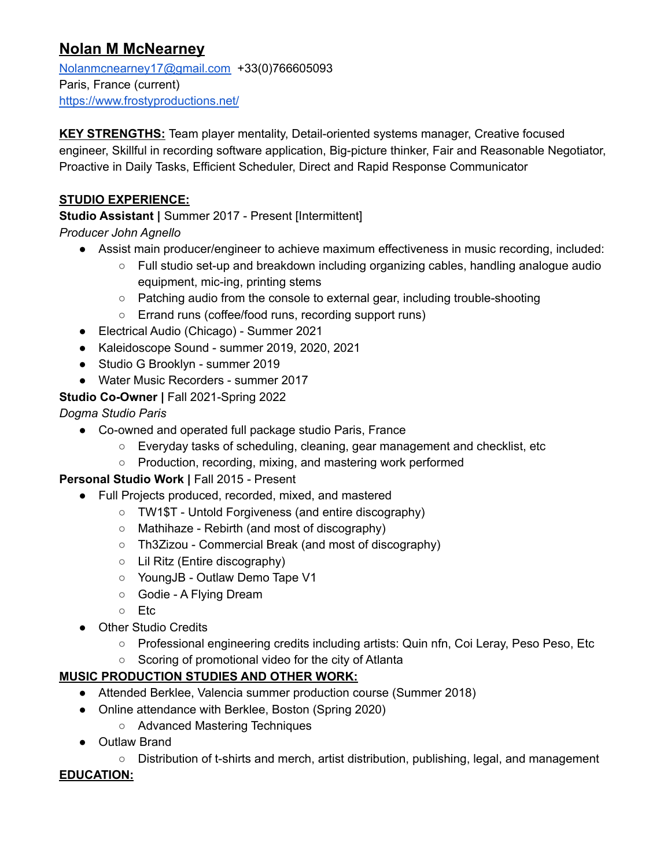# **Nolan M McNearney**

[Nolanmcnearney17@gmail.com](mailto:Nolanmcnearney17@gmail.com) +33(0)766605093 Paris, France (current) <https://www.frostyproductions.net/>

**KEY STRENGTHS:** Team player mentality, Detail-oriented systems manager, Creative focused engineer, Skillful in recording software application, Big-picture thinker, Fair and Reasonable Negotiator, Proactive in Daily Tasks, Efficient Scheduler, Direct and Rapid Response Communicator

### **STUDIO EXPERIENCE:**

**Studio Assistant |** Summer 2017 - Present [Intermittent]

*Producer John Agnello*

- Assist main producer/engineer to achieve maximum effectiveness in music recording, included:
	- Full studio set-up and breakdown including organizing cables, handling analogue audio equipment, mic-ing, printing stems
	- Patching audio from the console to external gear, including trouble-shooting
	- Errand runs (coffee/food runs, recording support runs)
- Electrical Audio (Chicago) Summer 2021
- Kaleidoscope Sound summer 2019, 2020, 2021
- Studio G Brooklyn summer 2019
- Water Music Recorders summer 2017

## **Studio Co-Owner |** Fall 2021-Spring 2022

*Dogma Studio Paris*

- Co-owned and operated full package studio Paris, France
	- Everyday tasks of scheduling, cleaning, gear management and checklist, etc
	- Production, recording, mixing, and mastering work performed

#### **Personal Studio Work |** Fall 2015 - Present

- Full Projects produced, recorded, mixed, and mastered
	- TW1\$T Untold Forgiveness (and entire discography)
	- Mathihaze Rebirth (and most of discography)
	- Th3Zizou Commercial Break (and most of discography)
	- Lil Ritz (Entire discography)
	- YoungJB Outlaw Demo Tape V1
	- Godie A Flying Dream
	- Etc
- Other Studio Credits
	- Professional engineering credits including artists: Quin nfn, Coi Leray, Peso Peso, Etc
	- Scoring of promotional video for the city of Atlanta

#### **MUSIC PRODUCTION STUDIES AND OTHER WORK:**

- Attended Berklee, Valencia summer production course (Summer 2018)
- Online attendance with Berklee, Boston (Spring 2020)
	- Advanced Mastering Techniques
- Outlaw Brand

○ Distribution of t-shirts and merch, artist distribution, publishing, legal, and management

#### **EDUCATION:**